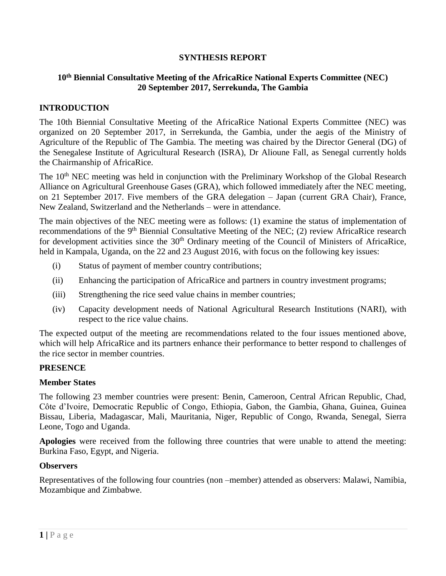# **SYNTHESIS REPORT**

# **10th Biennial Consultative Meeting of the AfricaRice National Experts Committee (NEC) 20 September 2017, Serrekunda, The Gambia**

#### **INTRODUCTION**

The 10th Biennial Consultative Meeting of the AfricaRice National Experts Committee (NEC) was organized on 20 September 2017, in Serrekunda, the Gambia, under the aegis of the Ministry of Agriculture of the Republic of The Gambia. The meeting was chaired by the Director General (DG) of the Senegalese Institute of Agricultural Research (ISRA), Dr Alioune Fall, as Senegal currently holds the Chairmanship of AfricaRice.

The 10<sup>th</sup> NEC meeting was held in conjunction with the Preliminary Workshop of the Global Research Alliance on Agricultural Greenhouse Gases (GRA), which followed immediately after the NEC meeting, on 21 September 2017. Five members of the GRA delegation – Japan (current GRA Chair), France, New Zealand, Switzerland and the Netherlands – were in attendance.

The main objectives of the NEC meeting were as follows: (1) examine the status of implementation of recommendations of the 9<sup>th</sup> Biennial Consultative Meeting of the NEC; (2) review AfricaRice research for development activities since the  $30<sup>th</sup>$  Ordinary meeting of the Council of Ministers of AfricaRice, held in Kampala, Uganda, on the 22 and 23 August 2016, with focus on the following key issues:

- (i) Status of payment of member country contributions;
- (ii) Enhancing the participation of AfricaRice and partners in country investment programs;
- (iii) Strengthening the rice seed value chains in member countries;
- (iv) Capacity development needs of National Agricultural Research Institutions (NARI), with respect to the rice value chains.

The expected output of the meeting are recommendations related to the four issues mentioned above, which will help AfricaRice and its partners enhance their performance to better respond to challenges of the rice sector in member countries.

#### **PRESENCE**

#### **Member States**

The following 23 member countries were present: Benin, Cameroon, Central African Republic, Chad, Côte d'Ivoire, Democratic Republic of Congo, Ethiopia, Gabon, the Gambia, Ghana, Guinea, Guinea Bissau, Liberia, Madagascar, Mali, Mauritania, Niger, Republic of Congo, Rwanda, Senegal, Sierra Leone, Togo and Uganda.

**Apologies** were received from the following three countries that were unable to attend the meeting: Burkina Faso, Egypt, and Nigeria.

#### **Observers**

Representatives of the following four countries (non –member) attended as observers: Malawi, Namibia, Mozambique and Zimbabwe.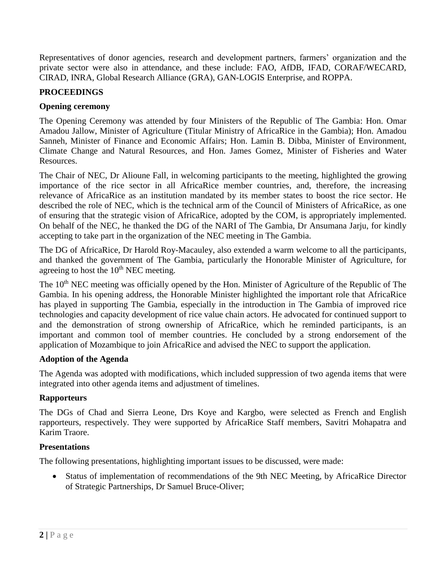Representatives of donor agencies, research and development partners, farmers' organization and the private sector were also in attendance, and these include: FAO, AfDB, IFAD, CORAF/WECARD, CIRAD, INRA, Global Research Alliance (GRA), GAN-LOGIS Enterprise, and ROPPA.

# **PROCEEDINGS**

# **Opening ceremony**

The Opening Ceremony was attended by four Ministers of the Republic of The Gambia: Hon. Omar Amadou Jallow, Minister of Agriculture (Titular Ministry of AfricaRice in the Gambia); Hon. Amadou Sanneh, Minister of Finance and Economic Affairs; Hon. Lamin B. Dibba, Minister of Environment, Climate Change and Natural Resources, and Hon. James Gomez, Minister of Fisheries and Water Resources.

The Chair of NEC, Dr Alioune Fall, in welcoming participants to the meeting, highlighted the growing importance of the rice sector in all AfricaRice member countries, and, therefore, the increasing relevance of AfricaRice as an institution mandated by its member states to boost the rice sector. He described the role of NEC, which is the technical arm of the Council of Ministers of AfricaRice, as one of ensuring that the strategic vision of AfricaRice, adopted by the COM, is appropriately implemented. On behalf of the NEC, he thanked the DG of the NARI of The Gambia, Dr Ansumana Jarju, for kindly accepting to take part in the organization of the NEC meeting in The Gambia.

The DG of AfricaRice, Dr Harold Roy-Macauley, also extended a warm welcome to all the participants, and thanked the government of The Gambia, particularly the Honorable Minister of Agriculture, for agreeing to host the  $10<sup>th</sup>$  NEC meeting.

The 10<sup>th</sup> NEC meeting was officially opened by the Hon. Minister of Agriculture of the Republic of The Gambia. In his opening address, the Honorable Minister highlighted the important role that AfricaRice has played in supporting The Gambia, especially in the introduction in The Gambia of improved rice technologies and capacity development of rice value chain actors. He advocated for continued support to and the demonstration of strong ownership of AfricaRice, which he reminded participants, is an important and common tool of member countries. He concluded by a strong endorsement of the application of Mozambique to join AfricaRice and advised the NEC to support the application.

# **Adoption of the Agenda**

The Agenda was adopted with modifications, which included suppression of two agenda items that were integrated into other agenda items and adjustment of timelines.

# **Rapporteurs**

The DGs of Chad and Sierra Leone, Drs Koye and Kargbo, were selected as French and English rapporteurs, respectively. They were supported by AfricaRice Staff members, Savitri Mohapatra and Karim Traore.

# **Presentations**

The following presentations, highlighting important issues to be discussed, were made:

• Status of implementation of recommendations of the 9th NEC Meeting, by AfricaRice Director of Strategic Partnerships, Dr Samuel Bruce-Oliver;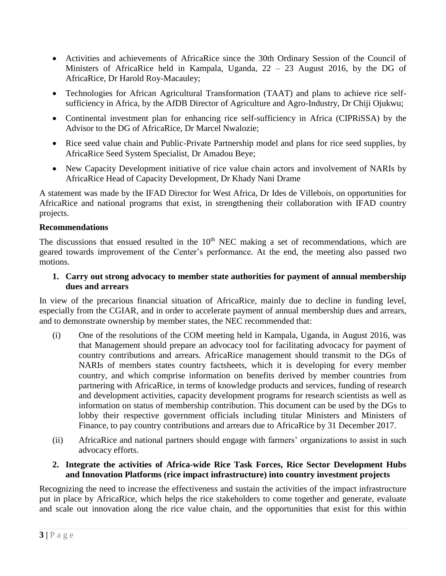- Activities and achievements of AfricaRice since the 30th Ordinary Session of the Council of Ministers of AfricaRice held in Kampala, Uganda, 22 – 23 August 2016, by the DG of AfricaRice, Dr Harold Roy-Macauley;
- Technologies for African Agricultural Transformation (TAAT) and plans to achieve rice selfsufficiency in Africa, by the AfDB Director of Agriculture and Agro-Industry, Dr Chiji Ojukwu;
- Continental investment plan for enhancing rice self-sufficiency in Africa (CIPRiSSA) by the Advisor to the DG of AfricaRice, Dr Marcel Nwalozie;
- Rice seed value chain and Public-Private Partnership model and plans for rice seed supplies, by AfricaRice Seed System Specialist, Dr Amadou Beye;
- New Capacity Development initiative of rice value chain actors and involvement of NARIs by AfricaRice Head of Capacity Development, Dr Khady Nani Drame

A statement was made by the IFAD Director for West Africa, Dr Ides de Villebois, on opportunities for AfricaRice and national programs that exist, in strengthening their collaboration with IFAD country projects.

# **Recommendations**

The discussions that ensued resulted in the  $10<sup>th</sup>$  NEC making a set of recommendations, which are geared towards improvement of the Center's performance. At the end, the meeting also passed two motions.

**1. Carry out strong advocacy to member state authorities for payment of annual membership dues and arrears**

In view of the precarious financial situation of AfricaRice, mainly due to decline in funding level, especially from the CGIAR, and in order to accelerate payment of annual membership dues and arrears, and to demonstrate ownership by member states, the NEC recommended that:

- (i) One of the resolutions of the COM meeting held in Kampala, Uganda, in August 2016, was that Management should prepare an advocacy tool for facilitating advocacy for payment of country contributions and arrears. AfricaRice management should transmit to the DGs of NARIs of members states country factsheets, which it is developing for every member country, and which comprise information on benefits derived by member countries from partnering with AfricaRice, in terms of knowledge products and services, funding of research and development activities, capacity development programs for research scientists as well as information on status of membership contribution. This document can be used by the DGs to lobby their respective government officials including titular Ministers and Ministers of Finance, to pay country contributions and arrears due to AfricaRice by 31 December 2017.
- (ii) AfricaRice and national partners should engage with farmers' organizations to assist in such advocacy efforts.

# **2. Integrate the activities of Africa-wide Rice Task Forces, Rice Sector Development Hubs and Innovation Platforms (rice impact infrastructure) into country investment projects**

Recognizing the need to increase the effectiveness and sustain the activities of the impact infrastructure put in place by AfricaRice, which helps the rice stakeholders to come together and generate, evaluate and scale out innovation along the rice value chain, and the opportunities that exist for this within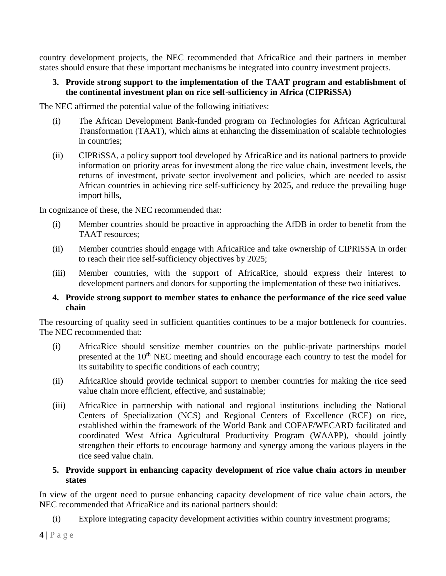country development projects, the NEC recommended that AfricaRice and their partners in member states should ensure that these important mechanisms be integrated into country investment projects.

### **3. Provide strong support to the implementation of the TAAT program and establishment of the continental investment plan on rice self-sufficiency in Africa (CIPRiSSA)**

The NEC affirmed the potential value of the following initiatives:

- (i) The African Development Bank-funded program on Technologies for African Agricultural Transformation (TAAT), which aims at enhancing the dissemination of scalable technologies in countries;
- (ii) CIPRiSSA, a policy support tool developed by AfricaRice and its national partners to provide information on priority areas for investment along the rice value chain, investment levels, the returns of investment, private sector involvement and policies, which are needed to assist African countries in achieving rice self-sufficiency by 2025, and reduce the prevailing huge import bills,

In cognizance of these, the NEC recommended that:

- (i) Member countries should be proactive in approaching the AfDB in order to benefit from the TAAT resources;
- (ii) Member countries should engage with AfricaRice and take ownership of CIPRiSSA in order to reach their rice self-sufficiency objectives by 2025;
- (iii) Member countries, with the support of AfricaRice, should express their interest to development partners and donors for supporting the implementation of these two initiatives.

#### **4. Provide strong support to member states to enhance the performance of the rice seed value chain**

The resourcing of quality seed in sufficient quantities continues to be a major bottleneck for countries. The NEC recommended that:

- (i) AfricaRice should sensitize member countries on the public-private partnerships model presented at the  $10<sup>th</sup>$  NEC meeting and should encourage each country to test the model for its suitability to specific conditions of each country;
- (ii) AfricaRice should provide technical support to member countries for making the rice seed value chain more efficient, effective, and sustainable;
- (iii) AfricaRice in partnership with national and regional institutions including the National Centers of Specialization (NCS) and Regional Centers of Excellence (RCE) on rice, established within the framework of the World Bank and COFAF/WECARD facilitated and coordinated West Africa Agricultural Productivity Program (WAAPP), should jointly strengthen their efforts to encourage harmony and synergy among the various players in the rice seed value chain.

#### **5. Provide support in enhancing capacity development of rice value chain actors in member states**

In view of the urgent need to pursue enhancing capacity development of rice value chain actors, the NEC recommended that AfricaRice and its national partners should:

(i) Explore integrating capacity development activities within country investment programs;